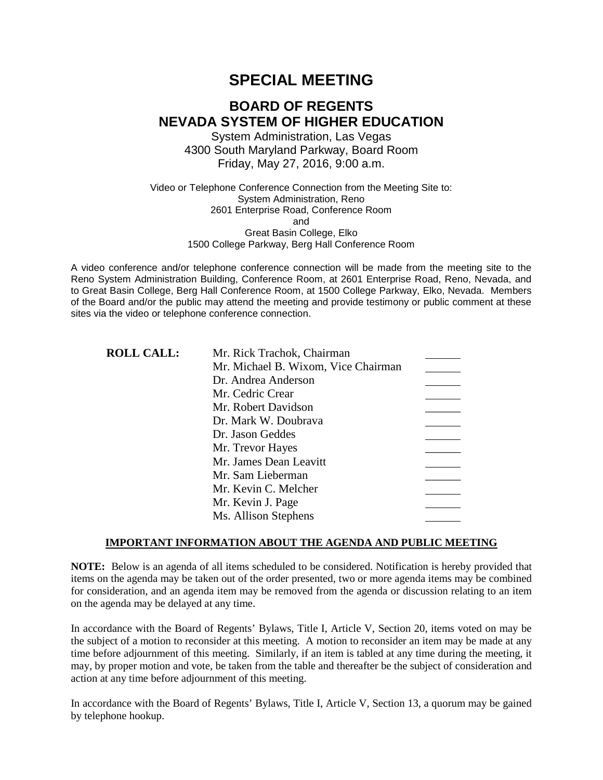# **SPECIAL MEETING**

# **BOARD OF REGENTS NEVADA SYSTEM OF HIGHER EDUCATION**

System Administration, Las Vegas 4300 South Maryland Parkway, Board Room Friday, May 27, 2016, 9:00 a.m.

Video or Telephone Conference Connection from the Meeting Site to: System Administration, Reno 2601 Enterprise Road, Conference Room and Great Basin College, Elko 1500 College Parkway, Berg Hall Conference Room

A video conference and/or telephone conference connection will be made from the meeting site to the Reno System Administration Building, Conference Room, at 2601 Enterprise Road, Reno, Nevada, and to Great Basin College, Berg Hall Conference Room, at 1500 College Parkway, Elko, Nevada. Members of the Board and/or the public may attend the meeting and provide testimony or public comment at these sites via the video or telephone conference connection.

| <b>ROLL CALL:</b> | Mr. Rick Trachok, Chairman          |  |
|-------------------|-------------------------------------|--|
|                   | Mr. Michael B. Wixom, Vice Chairman |  |
|                   | Dr. Andrea Anderson                 |  |
|                   | Mr. Cedric Crear                    |  |
|                   | Mr. Robert Davidson                 |  |
|                   | Dr. Mark W. Doubrava                |  |
|                   | Dr. Jason Geddes                    |  |
|                   | Mr. Trevor Hayes                    |  |
|                   | Mr. James Dean Leavitt              |  |
|                   | Mr. Sam Lieberman                   |  |
|                   | Mr. Kevin C. Melcher                |  |
|                   | Mr. Kevin J. Page                   |  |
|                   | Ms. Allison Stephens                |  |

### **IMPORTANT INFORMATION ABOUT THE AGENDA AND PUBLIC MEETING**

**NOTE:** Below is an agenda of all items scheduled to be considered. Notification is hereby provided that items on the agenda may be taken out of the order presented, two or more agenda items may be combined for consideration, and an agenda item may be removed from the agenda or discussion relating to an item on the agenda may be delayed at any time.

In accordance with the Board of Regents' Bylaws, Title I, Article V, Section 20, items voted on may be the subject of a motion to reconsider at this meeting. A motion to reconsider an item may be made at any time before adjournment of this meeting. Similarly, if an item is tabled at any time during the meeting, it may, by proper motion and vote, be taken from the table and thereafter be the subject of consideration and action at any time before adjournment of this meeting.

In accordance with the Board of Regents' Bylaws, Title I, Article V, Section 13, a quorum may be gained by telephone hookup.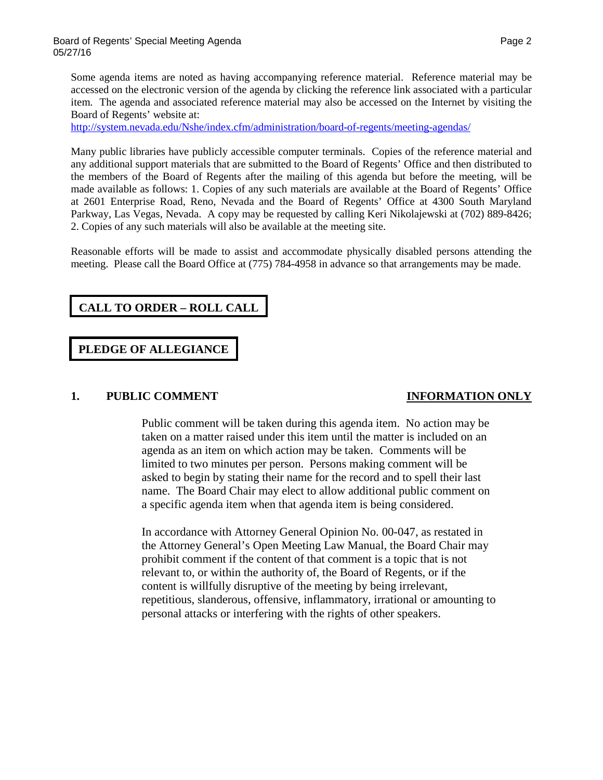Some agenda items are noted as having accompanying reference material. Reference material may be accessed on the electronic version of the agenda by clicking the reference link associated with a particular item. The agenda and associated reference material may also be accessed on the Internet by visiting the Board of Regents' website at:

<http://system.nevada.edu/Nshe/index.cfm/administration/board-of-regents/meeting-agendas/>

Many public libraries have publicly accessible computer terminals. Copies of the reference material and any additional support materials that are submitted to the Board of Regents' Office and then distributed to the members of the Board of Regents after the mailing of this agenda but before the meeting, will be made available as follows: 1. Copies of any such materials are available at the Board of Regents' Office at 2601 Enterprise Road, Reno, Nevada and the Board of Regents' Office at 4300 South Maryland Parkway, Las Vegas, Nevada. A copy may be requested by calling Keri Nikolajewski at (702) 889-8426; 2. Copies of any such materials will also be available at the meeting site.

Reasonable efforts will be made to assist and accommodate physically disabled persons attending the meeting. Please call the Board Office at (775) 784-4958 in advance so that arrangements may be made.

# **CALL TO ORDER – ROLL CALL**

## **PLEDGE OF ALLEGIANCE**

### **1. PUBLIC COMMENT INFORMATION ONLY**

Public comment will be taken during this agenda item. No action may be taken on a matter raised under this item until the matter is included on an agenda as an item on which action may be taken. Comments will be limited to two minutes per person. Persons making comment will be asked to begin by stating their name for the record and to spell their last name. The Board Chair may elect to allow additional public comment on a specific agenda item when that agenda item is being considered.

In accordance with Attorney General Opinion No. 00-047, as restated in the Attorney General's Open Meeting Law Manual, the Board Chair may prohibit comment if the content of that comment is a topic that is not relevant to, or within the authority of, the Board of Regents, or if the content is willfully disruptive of the meeting by being irrelevant, repetitious, slanderous, offensive, inflammatory, irrational or amounting to personal attacks or interfering with the rights of other speakers.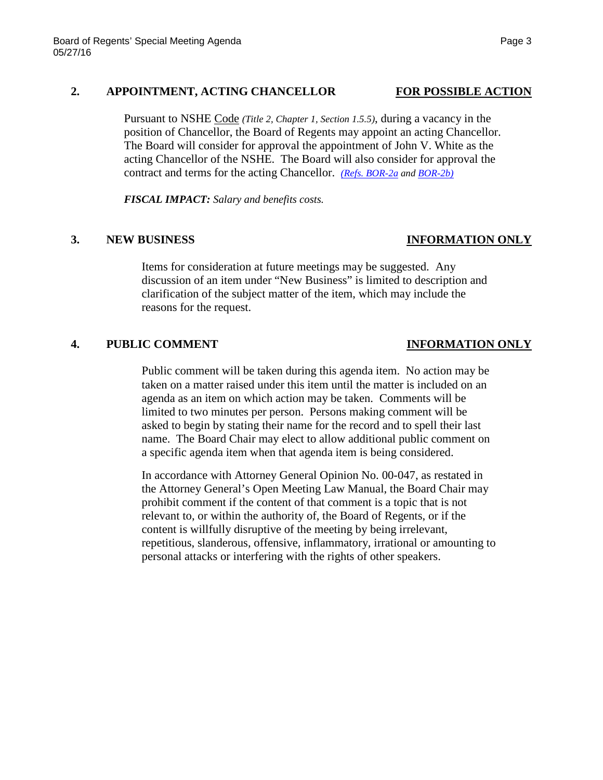### **2. APPOINTMENT, ACTING CHANCELLOR FOR POSSIBLE ACTION**

Pursuant to NSHE Code *(Title 2, Chapter 1, Section 1.5.5)*, during a vacancy in the position of Chancellor, the Board of Regents may appoint an acting Chancellor. The Board will consider for approval the appointment of John V. White as the acting Chancellor of the NSHE. The Board will also consider for approval the contract and terms for the acting Chancellor. *[\(Refs. BOR-2a](http://system.nevada.edu/tasks/sites/Nshe/assets/File/BoardOfRegents/Agendas/2016/may-mtgs/bor-refs-527/BOR-2a.pdf) an[d BOR-2b\)](http://system.nevada.edu/tasks/sites/Nshe/assets/File/BoardOfRegents/Agendas/2016/may-mtgs/bor-refs-527/BOR-2b.pdf)*

*FISCAL IMPACT: Salary and benefits costs.*

## **3. NEW BUSINESS INFORMATION ONLY**

Items for consideration at future meetings may be suggested. Any discussion of an item under "New Business" is limited to description and clarification of the subject matter of the item, which may include the reasons for the request.

## **4. PUBLIC COMMENT INFORMATION ONLY**

Public comment will be taken during this agenda item. No action may be taken on a matter raised under this item until the matter is included on an agenda as an item on which action may be taken. Comments will be limited to two minutes per person. Persons making comment will be asked to begin by stating their name for the record and to spell their last name. The Board Chair may elect to allow additional public comment on a specific agenda item when that agenda item is being considered.

In accordance with Attorney General Opinion No. 00-047, as restated in the Attorney General's Open Meeting Law Manual, the Board Chair may prohibit comment if the content of that comment is a topic that is not relevant to, or within the authority of, the Board of Regents, or if the content is willfully disruptive of the meeting by being irrelevant, repetitious, slanderous, offensive, inflammatory, irrational or amounting to personal attacks or interfering with the rights of other speakers.